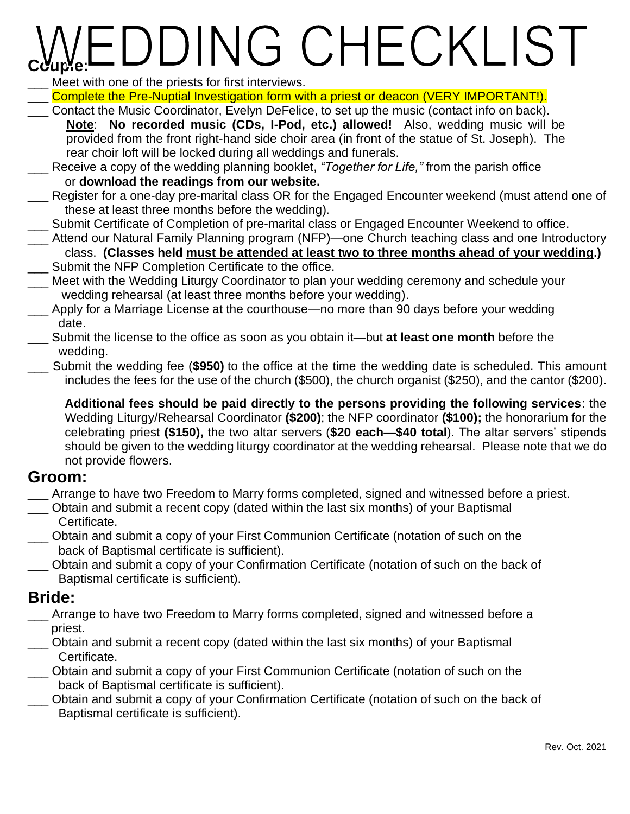## EDDING CHECKLIST **Couple:**

- Meet with one of the priests for first interviews.
- Complete the Pre-Nuptial Investigation form with a priest or deacon (VERY IMPORTANT!).
- Contact the Music Coordinator, Evelyn DeFelice, to set up the music (contact info on back).
- **Note**: **No recorded music (CDs, I-Pod, etc.) allowed!** Also, wedding music will be provided from the front right-hand side choir area (in front of the statue of St. Joseph). The rear choir loft will be locked during all weddings and funerals.
- \_\_\_ Receive a copy of the wedding planning booklet, *"Together for Life,"* from the parish office or **download the readings from our website.**
- \_\_\_ Register for a one-day pre-marital class OR for the Engaged Encounter weekend (must attend one of these at least three months before the wedding).
- \_\_\_ Submit Certificate of Completion of pre-marital class or Engaged Encounter Weekend to office.
- Attend our Natural Family Planning program (NFP)—one Church teaching class and one Introductory class. **(Classes held must be attended at least two to three months ahead of your wedding.)** Submit the NFP Completion Certificate to the office.
- Meet with the Wedding Liturgy Coordinator to plan your wedding ceremony and schedule your wedding rehearsal (at least three months before your wedding).
- Apply for a Marriage License at the courthouse—no more than 90 days before your wedding date.
- \_\_\_ Submit the license to the office as soon as you obtain it—but **at least one month** before the wedding.
	- \_\_\_ Submit the wedding fee (**\$950)** to the office at the time the wedding date is scheduled. This amount includes the fees for the use of the church (\$500), the church organist (\$250), and the cantor (\$200).

**Additional fees should be paid directly to the persons providing the following services**: the Wedding Liturgy/Rehearsal Coordinator **(\$200)**; the NFP coordinator **(\$100);** the honorarium for the celebrating priest **(\$150),** the two altar servers (**\$20 each—\$40 total**). The altar servers' stipends should be given to the wedding liturgy coordinator at the wedding rehearsal. Please note that we do not provide flowers.

#### **Groom:**

- Arrange to have two Freedom to Marry forms completed, signed and witnessed before a priest.
- \_\_\_ Obtain and submit a recent copy (dated within the last six months) of your Baptismal Certificate.
- \_\_\_ Obtain and submit a copy of your First Communion Certificate (notation of such on the back of Baptismal certificate is sufficient).
- \_\_\_ Obtain and submit a copy of your Confirmation Certificate (notation of such on the back of Baptismal certificate is sufficient).

#### **Bride:**

- \_\_\_ Arrange to have two Freedom to Marry forms completed, signed and witnessed before a priest.
- \_\_\_ Obtain and submit a recent copy (dated within the last six months) of your Baptismal Certificate.
- \_\_\_ Obtain and submit a copy of your First Communion Certificate (notation of such on the back of Baptismal certificate is sufficient).
- \_\_\_ Obtain and submit a copy of your Confirmation Certificate (notation of such on the back of Baptismal certificate is sufficient).